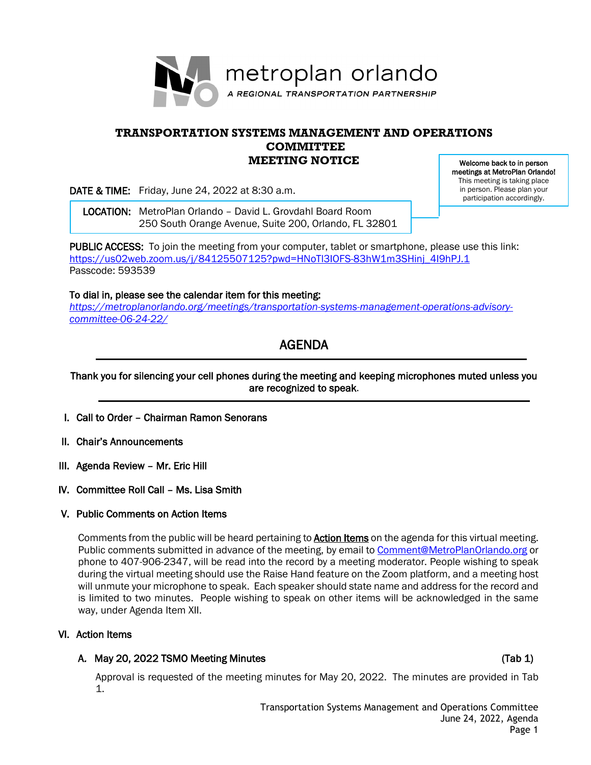

# **TRANSPORTATION SYSTEMS MANAGEMENT AND OPERATIONS COMMITTEE MEETING NOTICE**

DATE & TIME: Friday, June 24, 2022 at 8:30 a.m.

 LOCATION: MetroPlan Orlando – David L. Grovdahl Board Room 250 South Orange Avenue, Suite 200, Orlando, FL 32801

Welcome back to in person meetings at MetroPlan Orlando! This meeting is taking place in person. Please plan your participation accordingly.

PUBLIC ACCESS: To join the meeting from your computer, tablet or smartphone, please use this link: [https://us02web.zoom.us/j/84125507125?pwd=HNoTl3IOFS-83hW1m3SHinj\\_4I9hPJ.1](https://us02web.zoom.us/j/84125507125?pwd=HNoTl3IOFS-83hW1m3SHinj_4I9hPJ.1) Passcode: 593539

To dial in, please see the calendar item for this meeting: *[https://metroplanorlando.org/meetings/transportation-systems-management-operations-advisory](https://metroplanorlando.org/meetings/transportation-systems-management-operations-advisory-committee-06-24-22/)[committee-06-24-22/](https://metroplanorlando.org/meetings/transportation-systems-management-operations-advisory-committee-06-24-22/)*

# AGENDA

# Thank you for silencing your cell phones during the meeting and keeping microphones muted unless you are recognized to speak.

- I. Call to Order Chairman Ramon Senorans
- II. Chair's Announcements
- III. Agenda Review Mr. Eric Hill
- IV. Committee Roll Call Ms. Lisa Smith

### V. Public Comments on Action Items

Comments from the public will be heard pertaining to **Action Items** on the agenda for this virtual meeting. Public comments submitted in advance of the meeting, by email to [Comment@MetroPlanOrlando.org](mailto:Comment@MetroPlanOrlando.org) or phone to 407-906-2347, will be read into the record by a meeting moderator. People wishing to speak during the virtual meeting should use the Raise Hand feature on the Zoom platform, and a meeting host will unmute your microphone to speak. Each speaker should state name and address for the record and is limited to two minutes. People wishing to speak on other items will be acknowledged in the same way, under Agenda Item XII.

### VI. Action Items

# A. May 20, 2022 TSMO Meeting Minutes (Tab 1) A. May 20, 2022 TSMO Meeting Minutes

Approval is requested of the meeting minutes for May 20, 2022. The minutes are provided in Tab 1.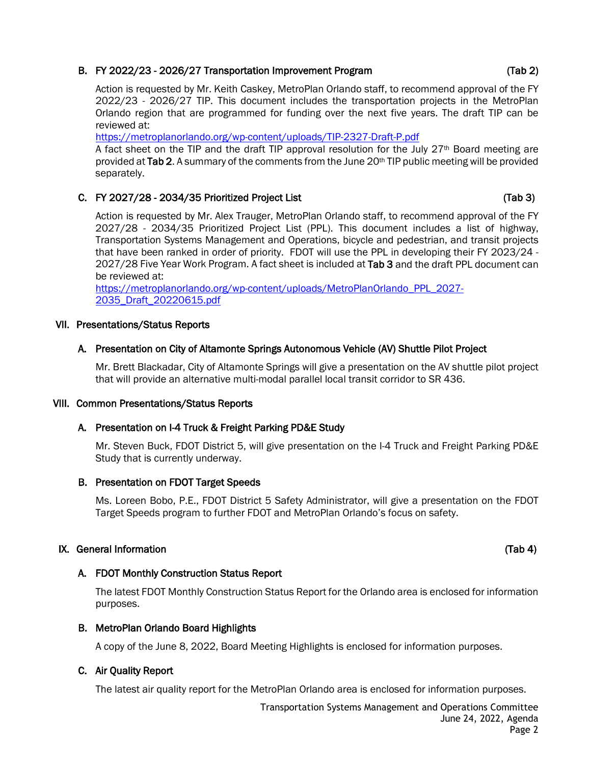# B. FY 2022/23 - 2026/27 Transportation Improvement Program (Tab 2)

Action is requested by Mr. Keith Caskey, MetroPlan Orlando staff, to recommend approval of the FY 2022/23 - 2026/27 TIP. This document includes the transportation projects in the MetroPlan Orlando region that are programmed for funding over the next five years. The draft TIP can be reviewed at:

<https://metroplanorlando.org/wp-content/uploads/TIP-2327-Draft-P.pdf>

A fact sheet on the TIP and the draft TIP approval resolution for the July 27<sup>th</sup> Board meeting are provided at Tab 2. A summary of the comments from the June 20<sup>th</sup> TIP public meeting will be provided separately.

# C. FY 2027/28 - 2034/35 Prioritized Project List (Tab 3)

Action is requested by Mr. Alex Trauger, MetroPlan Orlando staff, to recommend approval of the FY 2027/28 - 2034/35 Prioritized Project List (PPL). This document includes a list of highway, Transportation Systems Management and Operations, bicycle and pedestrian, and transit projects that have been ranked in order of priority. FDOT will use the PPL in developing their FY 2023/24 - 2027/28 Five Year Work Program. A fact sheet is included at Tab 3 and the draft PPL document can be reviewed at:

[https://metroplanorlando.org/wp-content/uploads/MetroPlanOrlando\\_PPL\\_2027-](https://metroplanorlando.org/wp-content/uploads/MetroPlanOrlando_PPL_2027-2035_Draft_20220615.pdf) [2035\\_Draft\\_20220615.pdf](https://metroplanorlando.org/wp-content/uploads/MetroPlanOrlando_PPL_2027-2035_Draft_20220615.pdf)

# VII. Presentations/Status Reports

# A. Presentation on City of Altamonte Springs Autonomous Vehicle (AV) Shuttle Pilot Project

Mr. Brett Blackadar, City of Altamonte Springs will give a presentation on the AV shuttle pilot project that will provide an alternative multi-modal parallel local transit corridor to SR 436.

### VIII. Common Presentations/Status Reports

### A. Presentation on I-4 Truck & Freight Parking PD&E Study

Mr. Steven Buck, FDOT District 5, will give presentation on the I-4 Truck and Freight Parking PD&E Study that is currently underway.

### B. Presentation on FDOT Target Speeds

Ms. Loreen Bobo, P.E., FDOT District 5 Safety Administrator, will give a presentation on the FDOT Target Speeds program to further FDOT and MetroPlan Orlando's focus on safety.

### IX. General Information (Tab 4)

# A. FDOT Monthly Construction Status Report

The latest FDOT Monthly Construction Status Report for the Orlando area is enclosed for information purposes.

### B. MetroPlan Orlando Board Highlights

A copy of the June 8, 2022, Board Meeting Highlights is enclosed for information purposes.

### C. Air Quality Report

The latest air quality report for the MetroPlan Orlando area is enclosed for information purposes.